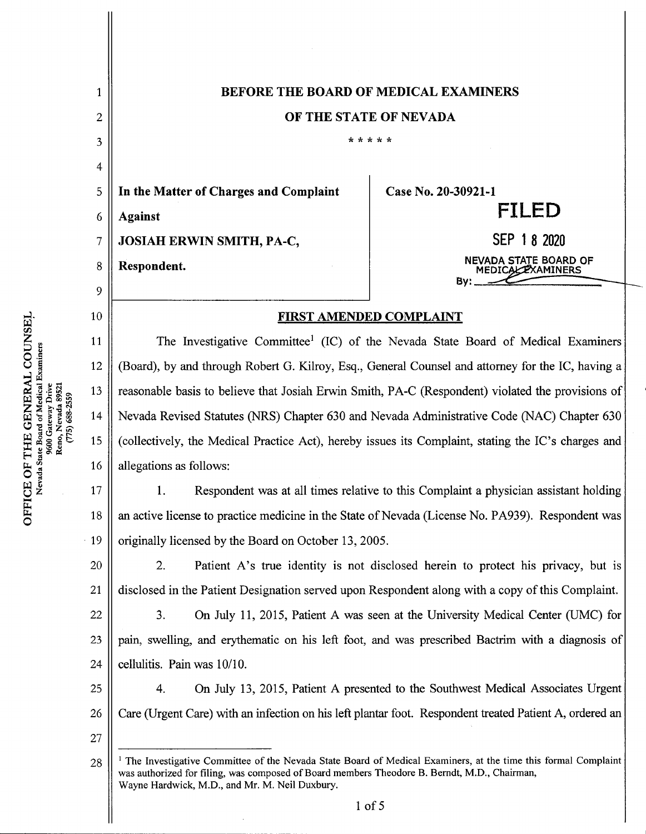| <b>BEFORE THE BOARD OF MEDICAL EXAMINERS</b>                                                                                                                                                                                                                                       |                                                                                                  |          |  |
|------------------------------------------------------------------------------------------------------------------------------------------------------------------------------------------------------------------------------------------------------------------------------------|--------------------------------------------------------------------------------------------------|----------|--|
| OF THE STATE OF NEVADA                                                                                                                                                                                                                                                             |                                                                                                  |          |  |
|                                                                                                                                                                                                                                                                                    | * * * * *                                                                                        |          |  |
|                                                                                                                                                                                                                                                                                    |                                                                                                  |          |  |
| In the Matter of Charges and Complaint                                                                                                                                                                                                                                             | Case No. 20-30921-1                                                                              |          |  |
| <b>Against</b>                                                                                                                                                                                                                                                                     | <b>FILED</b>                                                                                     |          |  |
| <b>JOSIAH ERWIN SMITH, PA-C,</b>                                                                                                                                                                                                                                                   | SEP 1 8 2020                                                                                     |          |  |
| NEVADA STATE BOARD OF<br>Respondent.<br><b>MEDICALL XAMINERS</b>                                                                                                                                                                                                                   |                                                                                                  |          |  |
|                                                                                                                                                                                                                                                                                    | <b>Bv:</b> .                                                                                     |          |  |
| FIRST AMENDED COMPLAINT                                                                                                                                                                                                                                                            |                                                                                                  |          |  |
|                                                                                                                                                                                                                                                                                    | The Investigative Committee <sup>1</sup> (IC) of the Nevada State Board of Medical Examiners     |          |  |
| 12<br>(Board), by and through Robert G. Kilroy, Esq., General Counsel and attorney for the IC, having a                                                                                                                                                                            |                                                                                                  |          |  |
| 13<br>reasonable basis to believe that Josiah Erwin Smith, PA-C (Respondent) violated the provisions of                                                                                                                                                                            |                                                                                                  |          |  |
| Nevada Revised Statutes (NRS) Chapter 630 and Nevada Administrative Code (NAC) Chapter 630                                                                                                                                                                                         |                                                                                                  |          |  |
| (collectively, the Medical Practice Act), hereby issues its Complaint, stating the IC's charges and                                                                                                                                                                                |                                                                                                  |          |  |
| allegations as follows:                                                                                                                                                                                                                                                            |                                                                                                  |          |  |
| Respondent was at all times relative to this Complaint a physician assistant holding<br>1.                                                                                                                                                                                         |                                                                                                  |          |  |
| an active license to practice medicine in the State of Nevada (License No. PA939). Respondent was                                                                                                                                                                                  |                                                                                                  |          |  |
| originally licensed by the Board on October 13, 2005.                                                                                                                                                                                                                              |                                                                                                  |          |  |
| 2.<br>Patient A's true identity is not disclosed herein to protect his privacy, but is                                                                                                                                                                                             |                                                                                                  |          |  |
| disclosed in the Patient Designation served upon Respondent along with a copy of this Complaint.                                                                                                                                                                                   |                                                                                                  |          |  |
| 3.                                                                                                                                                                                                                                                                                 | On July 11, 2015, Patient A was seen at the University Medical Center (UMC) for                  |          |  |
|                                                                                                                                                                                                                                                                                    | pain, swelling, and erythematic on his left foot, and was prescribed Bactrim with a diagnosis of |          |  |
| cellulitis. Pain was 10/10.                                                                                                                                                                                                                                                        |                                                                                                  |          |  |
| 4.                                                                                                                                                                                                                                                                                 | On July 13, 2015, Patient A presented to the Southwest Medical Associates Urgent                 |          |  |
| Care (Urgent Care) with an infection on his left plantar foot. Respondent treated Patient A, ordered an                                                                                                                                                                            |                                                                                                  |          |  |
|                                                                                                                                                                                                                                                                                    |                                                                                                  |          |  |
| <sup>1</sup> The Investigative Committee of the Nevada State Board of Medical Examiners, at the time this formal Complaint<br>28<br>was authorized for filing, was composed of Board members Theodore B. Berndt, M.D., Chairman,<br>Wayne Hardwick, M.D., and Mr. M. Neil Duxbury. |                                                                                                  |          |  |
|                                                                                                                                                                                                                                                                                    |                                                                                                  |          |  |
|                                                                                                                                                                                                                                                                                    |                                                                                                  | $1$ of 5 |  |

 $\rm _{ideal\,E}_{Drive}^{\rm H}$  Drive COUN<br>aminers<br>aminers

Wen z ,

 $\parallel$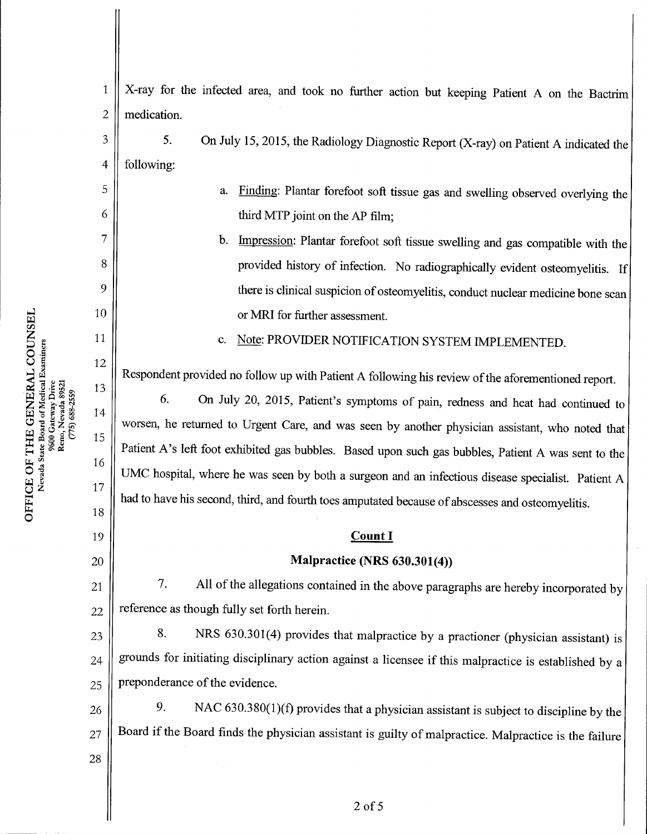X-ray for the infected area, and took no further action but keeping Patient A on the Bactrim medication. 5. On July 15, 2015, the Radiology Diagnostic Report (X-ray) on Patient A indicated the following: a. Finding: Plantar forefoot soft tissue gas and swelling observed overlying the third MTP joint on the AP film; b. Impression: Plantar forefoot soft tissue swelling and gas compatible with the provided history of infection. No radiographically evident osteomyelitis. If there is clinical suspicion of osteomyelitis, conduct nuclear medicine bone scan or MRI for further assessment. c. Note: PROVIDER NOTIFICATION SYSTEM IMPLEMENTED. Respondent provided no follow up with Patient A following his review of the aforementioned report. dent provided no follow up with Patient A following his review of the aforementioned report.<br>6. On July 20, 2015, Patient's symptoms of pain, redness and heat had continued to worsen, he returned to Urgent Care, and was seen by another physician assistant, who noted that Patient A's left foot exhibited gas bubbles. Based upon such gas bubbles, Patient A was sent to the UMC hospital, where he was seen by both a surgeon and an infectious disease specialist. Patient A had to have his second, third, and fourth toes amputated because of abscesses and osteomyelitis. Count I Malpractice (NRS 630.301(4)) 7. All of the allegations contained in the above paragraphs are hereby incorporated by reference as though fully set forth herein. 8. NRS 630.301(4) provides that malpractice by a practioner (physician assistant) is grounds for initiating disciplinary action against a licensee if this malpractice is established by a preponderance of the evidence. 9. NAC  $630.380(1)(f)$  provides that a physician assistant is subject to discipline by the Board if the Board finds the physician assistant is guilty of malpractice. Malpractice is the failure 1 2 3 4 5 6 7 8 9 10 11 12 13 14 15 16 17 18 19 20 21 22 23 24 25 26 27 28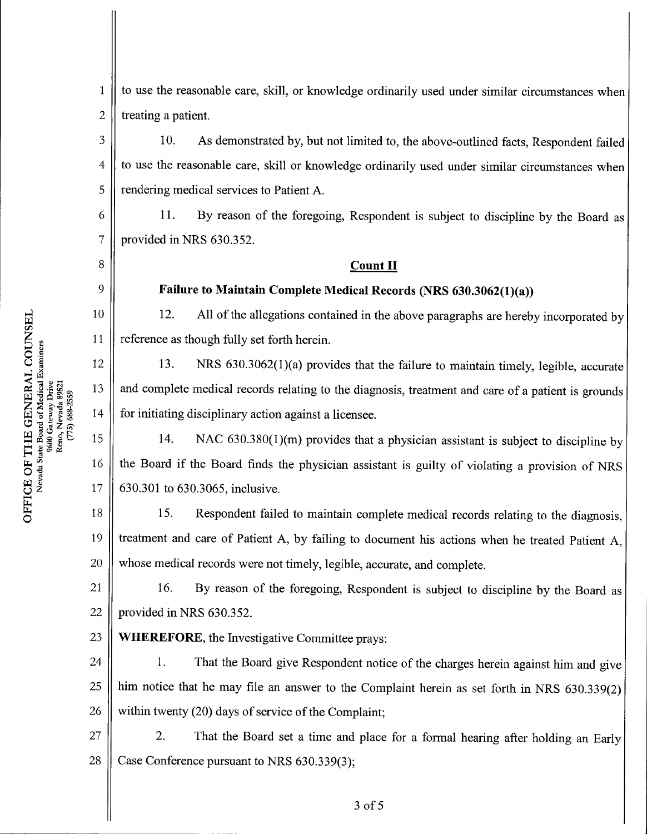w C/3Nevada State Board of Medical Examiner 9600 Gateway Drive<br>Reno, Nevada 89521  $(775)688 - 2559$ E OF T<br>Svada Sta  $\overline{\text{UE}}$   $\text{M}_\text{CFA}$ 

o

6

7

8

9

10

11

12

13

14

16

17

to use the reasonable care, skill, or knowledge ordinarily used under similar circumstances when treating a patient. 1 2

10. As demonstrated by, but not limited to, the above-outlined facts, Respondent failed to use the reasonable care, skill or knowledge ordinarily used under similar circumstances when rendering medical services to Patient A. 3 4 5

11. By reason of the foregoing, Respondent is subject to discipline by the Board as provided in NRS 630.352.

## **Count II**

## Failure to Maintain Complete Medical Records (NRS 630.3062(1)(a))

12. All of the allegations contained in the above paragraphs are hereby incorporated by reference as though fully set forth herein.

13. NRS 630.3062(1)(a) provides that the failure to maintain timely, legible, accurate and complete medical records relating to the diagnosis, treatment and care of a patient is grounds for initiating disciplinary action against a licensee.

14. NAC  $630.380(1)(m)$  provides that a physician assistant is subject to discipline by the Board if the Board finds the physician assistant is guilty of violating a provision of NRS 630.301 to 630.3065, inclusive. 15

15. Respondent failed to maintain complete medical records relating to the diagnosis, treatment and care of Patient A, by failing to document his actions when he treated Patient A, whose medical records were not timely, legible, accurate, and complete. 18 19 20

16. By reason of the foregoing, Respondent is subject to discipline by the Board as provided in NRS 630.352. 21 22

WHEREFORE, the Investigative Committee prays: 23

1. That the Board give Respondent notice of the charges herein against him and give him notice that he may file an answer to the Complaint herein as set forth in NRS 630.339(2) within twenty  $(20)$  days of service of the Complaint; 24 25 26

2. That the Board set a time and place for a formal hearing after holding an Early Case Conference pursuant to NRS  $630.339(3)$ ; 27 28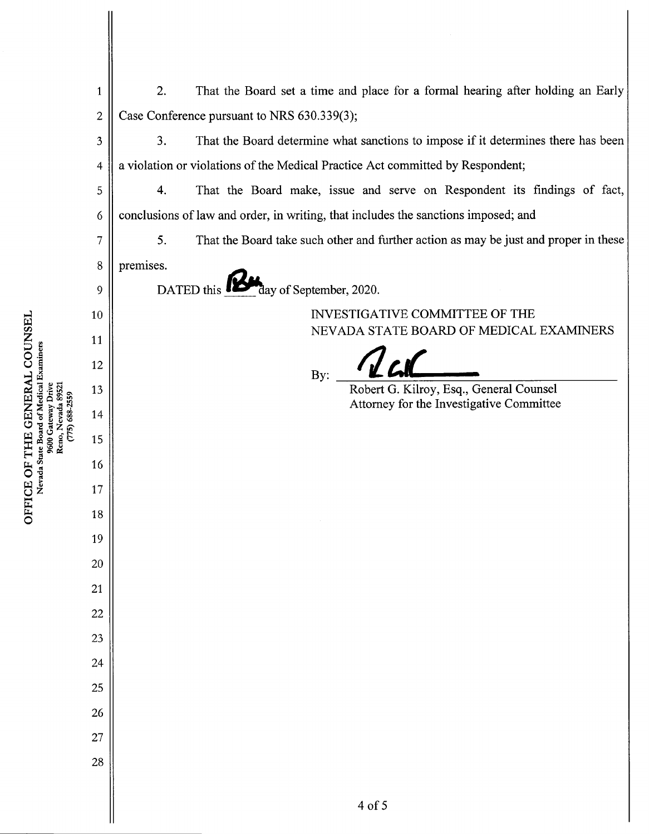|                                                           | $\mathbf{1}$   | 2.<br>That the Board set a time and place for a formal hearing after holding an Early      |
|-----------------------------------------------------------|----------------|--------------------------------------------------------------------------------------------|
| 9000 Gateway Line<br>Reno, Nevada 89521<br>(775) 688-2559 | $\overline{c}$ | Case Conference pursuant to NRS 630.339(3);                                                |
|                                                           | 3              | That the Board determine what sanctions to impose if it determines there has been<br>3.    |
|                                                           | 4              | a violation or violations of the Medical Practice Act committed by Respondent;             |
|                                                           | 5              | That the Board make, issue and serve on Respondent its findings of fact,<br>4.             |
|                                                           | 6              | conclusions of law and order, in writing, that includes the sanctions imposed; and         |
|                                                           | 7              | 5.<br>That the Board take such other and further action as may be just and proper in these |
|                                                           | 8              | premises.                                                                                  |
|                                                           | 9              | day of September, 2020.<br>DATED this                                                      |
|                                                           | 10             | INVESTIGATIVE COMMITTEE OF THE                                                             |
|                                                           | 11             | NEVADA STATE BOARD OF MEDICAL EXAMINERS                                                    |
|                                                           | 12             | By:                                                                                        |
|                                                           | 13             | Robert G. Kilroy, Esq., General Counsel<br>Attorney for the Investigative Committee        |
|                                                           | 14             |                                                                                            |
|                                                           | 15             |                                                                                            |
|                                                           | 16             |                                                                                            |
|                                                           | 17             |                                                                                            |
|                                                           | 18             |                                                                                            |
|                                                           | 19             |                                                                                            |
|                                                           | $20\,$         |                                                                                            |
|                                                           | 21             |                                                                                            |
|                                                           | $22\,$         |                                                                                            |
|                                                           | 23             |                                                                                            |
|                                                           | 24             |                                                                                            |
|                                                           | 25             |                                                                                            |
|                                                           | 26             |                                                                                            |
|                                                           | 27             |                                                                                            |
|                                                           | 28             |                                                                                            |
|                                                           |                | 4 of 5                                                                                     |
|                                                           |                |                                                                                            |

OF<br>cass

w

 $\rm \frac{COC}{D}$